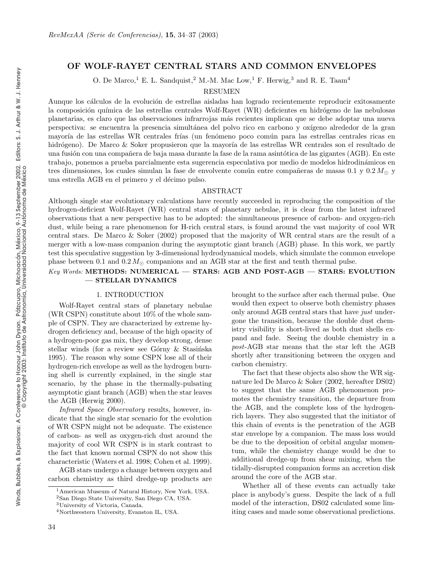# OF WOLF-RAYET CENTRAL STARS AND COMMON ENVELOPES

O. De Marco,<sup>1</sup> E. L. Sandquist,<sup>2</sup> M.-M. Mac Low,<sup>1</sup> F. Herwig,<sup>3</sup> and R. E. Taam<sup>4</sup>

RESUMEN

Aunque los cálculos de la evolución de estrellas aisladas han logrado recientemente reproducir exitosamente la composición química de las estrellas centrales Wolf-Rayet (WR) deficientes en hidrógeno de las nebulosas planetarias, es claro que las observaciones infrarrojas m´as recientes implican que se debe adoptar una nueva perspectiva: se encuentra la presencia simultánea del polvo rico en carbono y oxígeno alrededor de la gran mayoría de las estrellas WR centrales frías (un fenómeno poco común para las estrellas centrales ricas en hidrógeno). De Marco & Soker propusieron que la mayoría de las estrellas WR centrales son el resultado de una fusión con una compañera de baja masa durante la fase de la rama asintótica de las gigantes (AGB). En este trabajo, ponemos a prueba parcialmente esta sugerencia especulativa por medio de modelos hidrodinámicos en tres dimensiones, los cuales simulan la fase de envolvente común entre compañeras de masas  $0.1$  y  $0.2 M_{\odot}$  y una estrella AGB en el primero y el décimo pulso.

### ABSTRACT

Although single star evolutionary calculations have recently succeeded in reproducing the composition of the hydrogen-deficient Wolf-Rayet (WR) central stars of planetary nebulae, it is clear from the latest infrared observations that a new perspective has to be adopted: the simultaneous presence of carbon- and oxygen-rich dust, while being a rare phenomenon for H-rich central stars, is found around the vast majority of cool WR central stars. De Marco & Soker (2002) proposed that the majority of WR central stars are the result of a merger with a low-mass companion during the asymptotic giant branch (AGB) phase. In this work, we partly test this speculative suggestion by 3-dimensional hydrodynamical models, which simulate the common envelope phase between 0.1 and 0.2  $M_{\odot}$  companions and an AGB star at the first and tenth thermal pulse.

# Key Words: METHODS: NUMERICAL — STARS: AGB AND POST-AGB — STARS: EVOLUTION — STELLAR DYNAMICS

### 1. INTRODUCTION

Wolf-Rayet central stars of planetary nebulae (WR CSPN) constitute about 10% of the whole sample of CSPN. They are characterized by extreme hydrogen deficiency and, because of the high opacity of a hydrogen-poor gas mix, they develop strong, dense stellar winds (for a review see Górny  $\&$  Stasinska 1995). The reason why some CSPN lose all of their hydrogen-rich envelope as well as the hydrogen burning shell is currently explained, in the single star scenario, by the phase in the thermally-pulsating asymptotic giant branch (AGB) when the star leaves the AGB (Herwig 2000).

Infrared Space Observatory results, however, indicate that the single star scenario for the evolution of WR CSPN might not be adequate. The existence of carbon- as well as oxygen-rich dust around the majority of cool WR CSPN is in stark contrast to the fact that known normal CSPN do not show this characteristic (Waters et al. 1998; Cohen et al. 1999).

AGB stars undergo a change between oxygen and carbon chemistry as third dredge-up products are brought to the surface after each thermal pulse. One would then expect to observe both chemistry phases only around AGB central stars that have just undergone the transition, because the double dust chemistry visibility is short-lived as both dust shells expand and fade. Seeing the double chemistry in a post-AGB star means that the star left the AGB shortly after transitioning between the oxygen and carbon chemistry.

The fact that these objects also show the WR signature led De Marco & Soker (2002, hereafter DS02) to suggest that the same AGB phenomenon promotes the chemistry transition, the departure from the AGB, and the complete loss of the hydrogenrich layers. They also suggested that the initiator of this chain of events is the penetration of the AGB star envelope by a companion. The mass loss would be due to the deposition of orbital angular momentum, while the chemistry change would be due to additional dredge-up from shear mixing, when the tidally-disrupted companion forms an accretion disk around the core of the AGB star.

Whether all of these events can actually take place is anybody's guess. Despite the lack of a full model of the interaction, DS02 calculated some limiting cases and made some observational predictions.

<sup>1</sup>American Museum of Natural History, New York, USA.

<sup>2</sup>San Diego State University, San Diego CA, USA.

<sup>3</sup>University of Victoria, Canada.

<sup>4</sup>Northwestern University, Evanston IL, USA.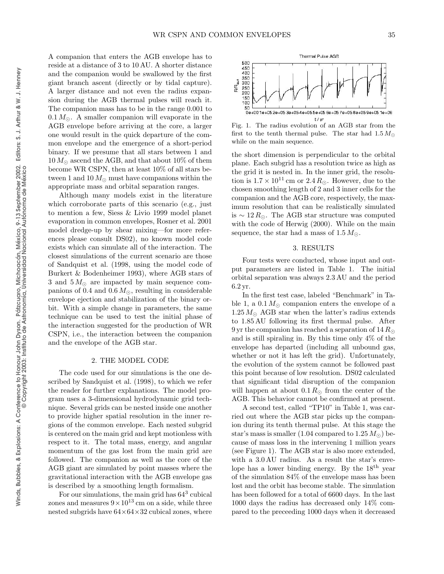A companion that enters the AGB envelope has to reside at a distance of 3 to 10 AU. A shorter distance and the companion would be swallowed by the first giant branch ascent (directly or by tidal capture). A larger distance and not even the radius expansion during the AGB thermal pulses will reach it. The companion mass has to be in the range 0.001 to  $0.1 M_{\odot}$ . A smaller companion will evaporate in the AGB envelope before arriving at the core, a larger one would result in the quick departure of the common envelope and the emergence of a short-period binary. If we presume that all stars between 1 and  $10 M_{\odot}$  ascend the AGB, and that about  $10\%$  of them become WR CSPN, then at least 10% of all stars between 1 and 10  $M_{\odot}$  must have companions within the appropriate mass and orbital separation ranges.

Although many models exist in the literature which corroborate parts of this scenario (e.g., just to mention a few, Siess & Livio 1999 model planet evaporation in common envelopes, Rosner et al. 2001 model dredge-up by shear mixing—for more references please consult DS02), no known model code exists which can simulate all of the interaction. The closest simulations of the current scenario are those of Sandquist et al. (1998, using the model code of Burkert & Bodenheimer 1993), where AGB stars of 3 and  $5 M_{\odot}$  are impacted by main sequence companions of 0.4 and  $0.6 M_{\odot}$ , resulting in considerable envelope ejection and stabilization of the binary orbit. With a simple change in parameters, the same technique can be used to test the initial phase of the interaction suggested for the production of WR CSPN, i.e., the interaction between the companion and the envelope of the AGB star.

#### 2. THE MODEL CODE

The code used for our simulations is the one described by Sandquist et al. (1998), to which we refer the reader for further explanations. The model program uses a 3-dimensional hydrodynamic grid technique. Several grids can be nested inside one another to provide higher spatial resolution in the inner regions of the common envelope. Each nested subgrid is centered on the main grid and kept motionless with respect to it. The total mass, energy, and angular momentum of the gas lost from the main grid are followed. The companion as well as the core of the AGB giant are simulated by point masses where the gravitational interaction with the AGB envelope gas is described by a smoothing length formalism.

For our simulations, the main grid has  $64^3$  cubical zones and measures  $9 \times 10^{13}$  cm on a side, while three nested subgrids have  $64\times64\times32$  cubical zones, where

Thermal Pulse AGB 500 450<br>400 350<br>300  $\mathsf{R/\mathsf{R}_{\text{sum}}}$ 250 200 150 100 50 0e+001e+052e+053e+054e+055e+056e+057e+058e+059e+051e+06  $t/wr$ 

Fig. 1. The radius evolution of an AGB star from the first to the tenth thermal pulse. The star had  $1.5 M_{\odot}$ while on the main sequence.

the short dimension is perpendicular to the orbital plane. Each subgrid has a resolution twice as high as the grid it is nested in. In the inner grid, the resolution is  $1.7\times 10^{11}\,\mathrm{cm}$  or  $2.4\,R_\odot.$  However, due to the chosen smoothing length of 2 and 3 inner cells for the companion and the AGB core, respectively, the maximum resolution that can be realistically simulated is  $\sim$  12 R<sub>☉</sub>. The AGB star structure was computed with the code of Herwig (2000). While on the main sequence, the star had a mass of  $1.5 M_{\odot}$ .

### 3. RESULTS

Four tests were conducted, whose input and output parameters are listed in Table 1. The initial orbital separation was always 2.3 AU and the period 6.2 yr.

In the first test case, labeled "Benchmark" in Table 1, a  $0.1 M_{\odot}$  companion enters the envelope of a  $1.25 M_{\odot}$  AGB star when the latter's radius extends to 1.85 AU following its first thermal pulse. After 9 yr the companion has reached a separation of  $14 R_{\odot}$ and is still spiraling in. By this time only 4% of the envelope has departed (including all unbound gas, whether or not it has left the grid). Unfortunately, the evolution of the system cannot be followed past this point because of low resolution. DS02 calculated that significant tidal disruption of the companion will happen at about  $0.1 R_{\odot}$  from the center of the AGB. This behavior cannot be confirmed at present.

A second test, called "TP10" in Table 1, was carried out where the AGB star picks up the companion during its tenth thermal pulse. At this stage the star's mass is smaller (1.04 compared to  $1.25 M_{\odot}$ ) because of mass loss in the intervening 1 million years (see Figure 1). The AGB star is also more extended, with a 3.0 AU radius. As a result the star's envelope has a lower binding energy. By the  $18<sup>th</sup>$  year of the simulation 84% of the envelope mass has been lost and the orbit has become stable. The simulation has been followed for a total of 6600 days. In the last 1000 days the radius has decreased only 14% compared to the preceeding 1000 days when it decreased

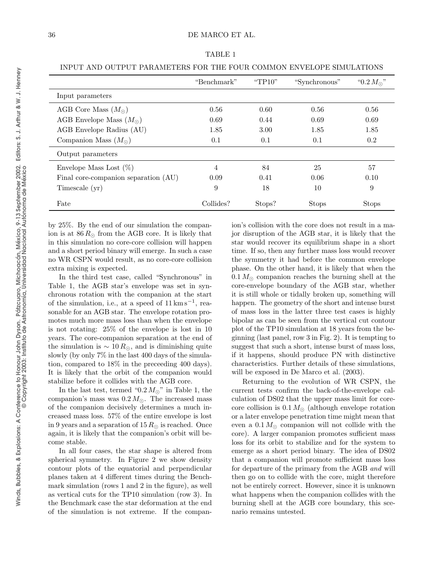Winds, Bubbles, & Explosions: A Conference to Honour John Dyson.

Pátzcuaro, Michoacán, México, 9-13 September 2002.

© Copyright 2003: Instituto de Astronomía, Universidad Nacional Autónoma de México

Winds, Bubbles, & Explosions: A Conference to Honour John Dyson. Pátzcuaro, Michoacán, México, 9-13 September 2002. Editors: S. J. Arthur & W. J. Henney<br>Winds, Bubbles, & Explosions: A © Copyright 2003: Instituto de Astron

Editors: S. J. Arthur & W. J. Henney

|--|--|

|                                      | "Benchmark" | "TP $10$ " | "Synchronous" | " $0.2 M_{\odot}$ " |
|--------------------------------------|-------------|------------|---------------|---------------------|
| Input parameters                     |             |            |               |                     |
| AGB Core Mass $(M_{\odot})$          | 0.56        | 0.60       | 0.56          | 0.56                |
| AGB Envelope Mass $(M_{\odot})$      | 0.69        | 0.44       | 0.69          | 0.69                |
| AGB Envelope Radius (AU)             | 1.85        | 3.00       | 1.85          | 1.85                |
| Companion Mass $(M_{\odot})$         | 0.1         | 0.1        | 0.1           | 0.2                 |
| Output parameters                    |             |            |               |                     |
| Envelope Mass Lost $(\%)$            | 4           | 84         | 25            | 57                  |
| Final core-companion separation (AU) | 0.09        | 0.41       | 0.06          | 0.10                |
| Timescale (yr)                       | 9           | 18         | 10            | 9                   |
| Fate                                 | Collides?   | Stops?     | <b>Stops</b>  | <b>Stops</b>        |

by 25%. By the end of our simulation the companion is at  $86 R_{\odot}$  from the AGB core. It is likely that in this simulation no core-core collision will happen and a short period binary will emerge. In such a case no WR CSPN would result, as no core-core collision extra mixing is expected.

In the third test case, called "Synchronous" in Table 1, the AGB star's envelope was set in synchronous rotation with the companion at the start of the simulation, i.e., at a speed of  $11 \,\mathrm{km}\,\mathrm{s}^{-1}$ , reasonable for an AGB star. The envelope rotation promotes much more mass loss than when the envelope is not rotating: 25% of the envelope is lost in 10 years. The core-companion separation at the end of the simulation is  $\sim 10 R_{\odot}$ , and is diminishing quite slowly (by only 7% in the last 400 days of the simulation, compared to 18% in the preceeding 400 days). It is likely that the orbit of the companion would stabilize before it collides with the AGB core.

In the last test, termed "0.2  $M_{\odot}$ " in Table 1, the companion's mass was  $0.2 M_{\odot}$ . The increased mass of the companion decisively determines a much increased mass loss. 57% of the entire envelope is lost in 9 years and a separation of 15  $R_{\odot}$  is reached. Once again, it is likely that the companion's orbit will become stable.

In all four cases, the star shape is altered from spherical symmetry. In Figure 2 we show density contour plots of the equatorial and perpendicular planes taken at 4 different times during the Benchmark simulation (rows 1 and 2 in the figure), as well as vertical cuts for the TP10 simulation (row 3). In the Benchmark case the star deformation at the end of the simulation is not extreme. If the companion's collision with the core does not result in a major disruption of the AGB star, it is likely that the star would recover its equilibrium shape in a short time. If so, then any further mass loss would recover the symmetry it had before the common envelope phase. On the other hand, it is likely that when the  $0.1 M_{\odot}$  companion reaches the burning shell at the core-envelope boundary of the AGB star, whether it is still whole or tidally broken up, something will happen. The geometry of the short and intense burst of mass loss in the latter three test cases is highly bipolar as can be seen from the vertical cut contour plot of the TP10 simulation at 18 years from the beginning (last panel, row 3 in Fig. 2). It is tempting to suggest that such a short, intense burst of mass loss, if it happens, should produce PN with distinctive characteristics. Further details of these simulations, will be exposed in De Marco et al.  $(2003)$ .

Returning to the evolution of WR CSPN, the current tests confirm the back-of-the-envelope calculation of DS02 that the upper mass limit for corecore collision is  $0.1 M_{\odot}$  (although envelope rotation or a later envelope penetration time might mean that even a  $0.1 M_{\odot}$  companion will not collide with the core). A larger companion promotes sufficient mass loss for its orbit to stabilize and for the system to emerge as a short period binary. The idea of DS02 that a companion will promote sufficient mass loss for departure of the primary from the AGB and will then go on to collide with the core, might therefore not be entirely correct. However, since it is unknown what happens when the companion collides with the burning shell at the AGB core boundary, this scenario remains untested.